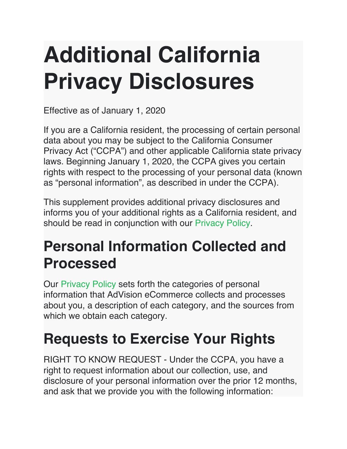# **Additional California Privacy Disclosures**

Effective as of January 1, 2020

If you are a California resident, the processing of certain personal data about you may be subject to the California Consumer Privacy Act ("CCPA") and other applicable California state privacy laws. Beginning January 1, 2020, the CCPA gives you certain rights with respect to the processing of your personal data (known as "personal information", as described in under the CCPA).

This supplement provides additional privacy disclosures and informs you of your additional rights as a California resident, and should be read in conjunction with our [Privacy Policy.](https://advision-ecommerce.com/privacy)

#### **Personal Information Collected and Processed**

Our [Privacy Policy](https://advision-ecommerce.com/privacy) sets forth the categories of personal information that AdVision eCommerce collects and processes about you, a description of each category, and the sources from which we obtain each category.

## **Requests to Exercise Your Rights**

RIGHT TO KNOW REQUEST - Under the CCPA, you have a right to request information about our collection, use, and disclosure of your personal information over the prior 12 months, and ask that we provide you with the following information: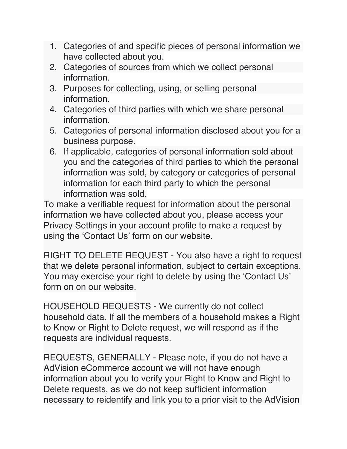- 1. Categories of and specific pieces of personal information we have collected about you.
- 2. Categories of sources from which we collect personal information.
- 3. Purposes for collecting, using, or selling personal information.
- 4. Categories of third parties with which we share personal information.
- 5. Categories of personal information disclosed about you for a business purpose.
- 6. If applicable, categories of personal information sold about you and the categories of third parties to which the personal information was sold, by category or categories of personal information for each third party to which the personal information was sold.

To make a verifiable request for information about the personal information we have collected about you, please access your Privacy Settings in your account profile to make a request by using the 'Contact Us' form on our website.

RIGHT TO DELETE REQUEST - You also have a right to request that we delete personal information, subject to certain exceptions. You may exercise your right to delete by using the 'Contact Us' form on on our website.

HOUSEHOLD REQUESTS - We currently do not collect household data. If all the members of a household makes a Right to Know or Right to Delete request, we will respond as if the requests are individual requests.

REQUESTS, GENERALLY - Please note, if you do not have a AdVision eCommerce account we will not have enough information about you to verify your Right to Know and Right to Delete requests, as we do not keep sufficient information necessary to reidentify and link you to a prior visit to the AdVision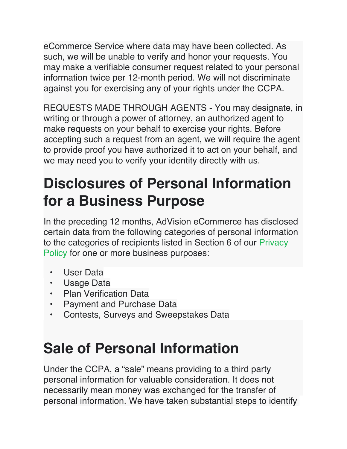eCommerce Service where data may have been collected. As such, we will be unable to verify and honor your requests. You may make a verifiable consumer request related to your personal information twice per 12-month period. We will not discriminate against you for exercising any of your rights under the CCPA.

REQUESTS MADE THROUGH AGENTS - You may designate, in writing or through a power of attorney, an authorized agent to make requests on your behalf to exercise your rights. Before accepting such a request from an agent, we will require the agent to provide proof you have authorized it to act on your behalf, and we may need you to verify your identity directly with us.

### **Disclosures of Personal Information for a Business Purpose**

In the preceding 12 months, AdVision eCommerce has disclosed certain data from the following categories of personal information to the categories of recipients listed in Section 6 of our [Privacy](https://advision-ecommerce.com/privacy)  [Policy](https://advision-ecommerce.com/privacy) for one or more business purposes:

- User Data
- Usage Data
- Plan Verification Data
- Payment and Purchase Data
- Contests, Surveys and Sweepstakes Data

## **Sale of Personal Information**

Under the CCPA, a "sale" means providing to a third party personal information for valuable consideration. It does not necessarily mean money was exchanged for the transfer of personal information. We have taken substantial steps to identify